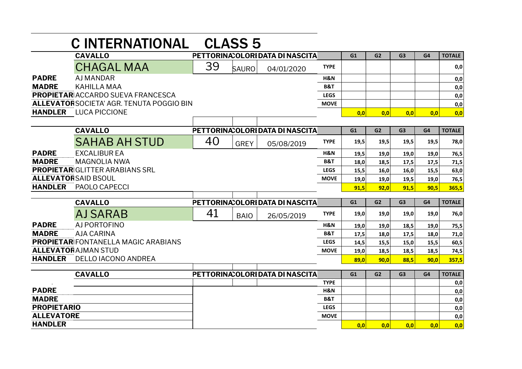|                                                 | <b>CINTERNATIONAL CLASS 5</b>              |                                  |              |                                  |                |                |                |                |      |               |
|-------------------------------------------------|--------------------------------------------|----------------------------------|--------------|----------------------------------|----------------|----------------|----------------|----------------|------|---------------|
|                                                 | <b>CAVALLO</b>                             |                                  |              | PETTORINA: OLORI DATA DI NASCITA |                | G1             | G <sub>2</sub> | G <sub>3</sub> | G4   | <b>TOTALE</b> |
|                                                 | <b>CHAGAL MAA</b>                          | 39                               | <b>SAURO</b> | 04/01/2020                       | <b>TYPE</b>    |                |                |                |      | 0,0           |
| <b>PADRE</b>                                    | <b>AJ MANDAR</b>                           |                                  |              |                                  | H&N            |                |                |                |      | 0,0           |
| <b>MADRE</b>                                    | <b>KAHILLA MAA</b>                         |                                  |              |                                  |                |                |                |                |      | 0,0           |
| <b>PROPIETAR ACCARDO SUEVA FRANCESCA</b>        |                                            |                                  |              |                                  | <b>LEGS</b>    |                |                |                |      | 0,0           |
| <b>ALLEVATORSOCIETA' AGR. TENUTA POGGIO BIN</b> |                                            |                                  |              |                                  | <b>MOVE</b>    |                |                |                |      | 0,0           |
| <b>HANDLER</b>                                  | <b>LUCA PICCIONE</b>                       |                                  |              |                                  |                | 0.0            | 0.0            | 0,0            | 0.0  | 0,0           |
|                                                 |                                            |                                  |              |                                  |                |                |                |                |      |               |
|                                                 | <b>CAVALLO</b>                             |                                  |              | PETTORINA: OLORI DATA DI NASCITA |                | G1             | G <sub>2</sub> | G <sub>3</sub> | G4   | <b>TOTALE</b> |
|                                                 | <b>SAHAB AH STUD</b>                       | 40                               | <b>GREY</b>  | 05/08/2019                       | <b>TYPE</b>    | 19,5           | 19.5           | 19,5           | 19,5 | 78,0          |
| <b>PADRE</b>                                    | <b>EXCALIBUR EA</b>                        |                                  |              |                                  | H&N            | 19,5           | 19,0           | 19,0           | 19,0 | 76,5          |
| <b>MADRE</b>                                    | <b>MAGNOLIA NWA</b>                        |                                  |              |                                  | <b>B&amp;T</b> | 18,0           | 18,5           | 17,5           | 17,5 | 71,5          |
| <b>PROPIETAR GLITTER ARABIANS SRL</b>           |                                            |                                  |              |                                  | <b>LEGS</b>    | 15,5           | 16,0           | 16,0           | 15,5 | 63,0          |
|                                                 | <b>ALLEVATORSAID BSOUL</b>                 |                                  |              |                                  | <b>MOVE</b>    | 19,0           | 19,0           | 19,5           | 19,0 | 76,5          |
| <b>HANDLER</b>                                  | PAOLO CAPECCI                              |                                  |              |                                  |                | 91.5           | 92.0           | 91,5           | 90,5 | 365,5         |
|                                                 | <b>CAVALLO</b>                             |                                  |              | PETTORINA: OLORI DATA DI NASCITA |                | G1             | G <sub>2</sub> | G <sub>3</sub> | G4   | <b>TOTALE</b> |
|                                                 | AJ SARAB                                   | 41                               | <b>BAIO</b>  | 26/05/2019                       | <b>TYPE</b>    | 19,0           | 19,0           | 19,0           | 19,0 | 76,0          |
| <b>PADRE</b>                                    | AJ PORTOFINO                               |                                  |              |                                  | H&N            | 19,0           | 19,0           | 18,5           | 19,0 | 75,5          |
| <b>MADRE</b>                                    | <b>AJA CARINA</b>                          |                                  |              |                                  | <b>B&amp;T</b> | 17,5           | 18,0           | 17,5           | 18,0 | 71,0          |
|                                                 | <b>PROPIETAR FONTANELLA MAGIC ARABIANS</b> |                                  |              |                                  | <b>LEGS</b>    | 14,5           | 15,5           | 15,0           | 15,5 | 60,5          |
|                                                 | <b>ALLEVATORAJMAN STUD</b>                 |                                  |              |                                  | <b>MOVE</b>    | 19,0           | 18,5           | 18,5           | 18,5 | 74,5          |
| <b>HANDLER</b>                                  | DELLO IACONO ANDREA                        |                                  |              |                                  |                | 89,0           | 90,0           | 88,5           | 90,0 | 357,5         |
|                                                 | <b>CAVALLO</b>                             | PETTORINA: OLORI DATA DI NASCITA |              | G1                               | G2             | G <sub>3</sub> | G4             | <b>TOTALE</b>  |      |               |
|                                                 |                                            |                                  |              |                                  | <b>TYPE</b>    |                |                |                |      | 0,0           |
| <b>PADRE</b>                                    |                                            |                                  |              |                                  | H&N            |                |                |                |      | 0,0           |
| <b>MADRE</b>                                    |                                            |                                  |              |                                  | <b>B&amp;T</b> |                |                |                |      | 0,0           |
| <b>PROPIETARIO</b>                              |                                            |                                  |              |                                  | <b>LEGS</b>    |                |                |                |      | 0,0           |
| <b>ALLEVATORE</b>                               |                                            |                                  |              |                                  | <b>MOVE</b>    |                |                |                |      | 0,0           |
| <b>HANDLER</b>                                  |                                            |                                  |              |                                  |                | 0.0            | 0.0            | 0.0            | 0.0  | 0,0           |